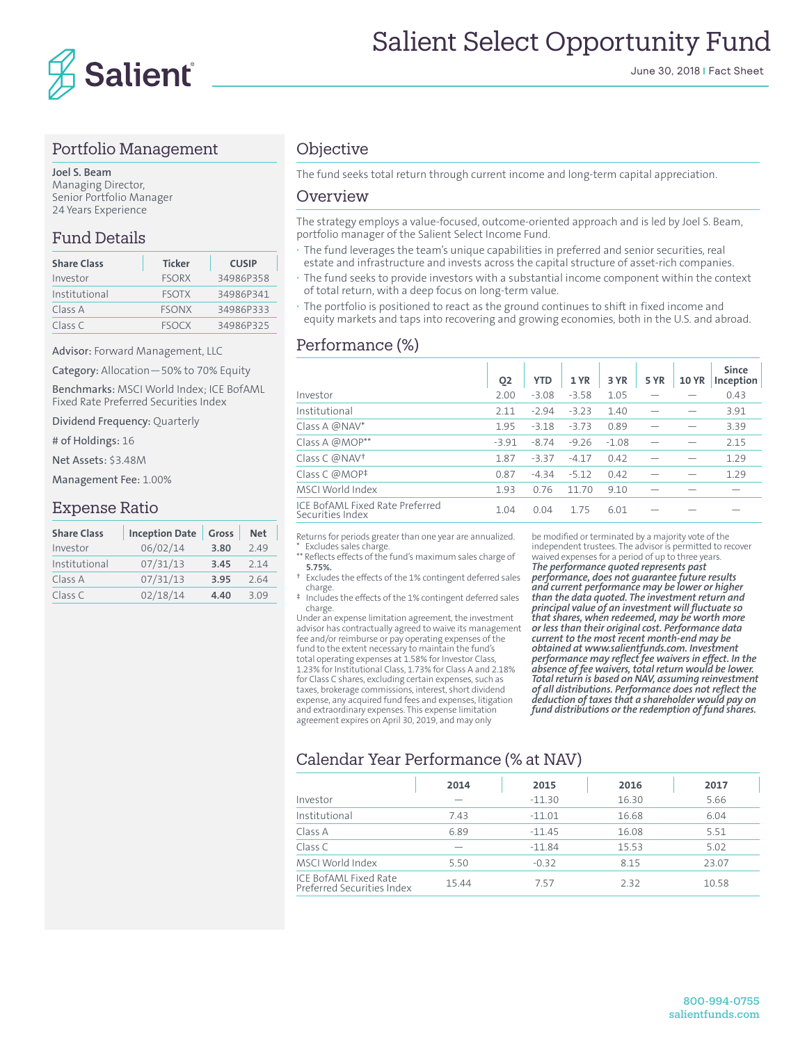

#### Portfolio Management

**Joel S. Beam** Managing Director, Senior Portfolio Manager 24 Years Experience

## Fund Details

| <b>Share Class</b> | <b>Ticker</b> | <b>CUSIP</b> |
|--------------------|---------------|--------------|
| Investor           | <b>FSORX</b>  | 34986P358    |
| Institutional      | <b>FSOTX</b>  | 34986P341    |
| Class A            | <b>FSONX</b>  | 34986P333    |
| Class C            | <b>FSOCX</b>  | 34986P325    |

Advisor: Forward Management, LLC

Category: Allocation—50% to 70% Equity

Benchmarks: MSCI World Index; ICE BofAML Fixed Rate Preferred Securities Index

Dividend Frequency: Quarterly

# of Holdings: 16

Net Assets: \$3.48M

Management Fee: 1.00%

#### Expense Ratio

| <b>Share Class</b> | <b>Inception Date</b> | Gross | <b>Net</b> |
|--------------------|-----------------------|-------|------------|
| Investor           | 06/02/14              | 3.80  | 249        |
| Institutional      | 07/31/13              | 3.45  | 2 1 4      |
| Class A            | 07/31/13              | 3.95  | 264        |
| Class C            | 02/18/14              | 4.40  | 3.09       |

### **Objective**

The fund seeks total return through current income and long-term capital appreciation.

#### Overview

The strategy employs a value-focused, outcome-oriented approach and is led by Joel S. Beam, portfolio manager of the Salient Select Income Fund.

- **·** The fund leverages the team's unique capabilities in preferred and senior securities, real estate and infrastructure and invests across the capital structure of asset-rich companies.
- **·** The fund seeks to provide investors with a substantial income component within the context of total return, with a deep focus on long-term value.
- **·** The portfolio is positioned to react as the ground continues to shift in fixed income and equity markets and taps into recovering and growing economies, both in the U.S. and abroad.

#### Performance (%)

|                                                     | O <sub>2</sub> | <b>YTD</b> | 1 YR    | 3 YR    | <b>5 YR</b> | <b>10 YR</b> | <b>Since</b><br>Inception |
|-----------------------------------------------------|----------------|------------|---------|---------|-------------|--------------|---------------------------|
| Investor                                            | 2.00           | $-3.08$    | $-3.58$ | 1.05    |             |              | 0.43                      |
| Institutional                                       | 2.11           | $-2.94$    | $-3.23$ | 1.40    |             |              | 3.91                      |
| Class A @NAV*                                       | 1.95           | $-3.18$    | $-3.73$ | 0.89    |             |              | 3.39                      |
| Class A @MOP**                                      | $-3.91$        | $-8.74$    | $-9.26$ | $-1.08$ |             |              | 2.15                      |
| Class C @NAV <sup>+</sup>                           | 1.87           | $-3.37$    | $-4.17$ | 0.42    |             |              | 1.29                      |
| Class C @MOP <sup>‡</sup>                           | 0.87           | $-4.34$    | $-5.12$ | 0.42    |             |              | 1.29                      |
| MSCI World Index                                    | 1.93           | 0.76       | 11 70   | 9.10    |             |              |                           |
| ICE BofAML Fixed Rate Preferred<br>Securities Index | 1.04           | 0.04       | 175     | 6.01    |             |              |                           |

Returns for periods greater than one year are annualized. Excludes sales charge

\*\* Reflects effects of the fund's maximum sales charge of **5.75%.**

† Excludes the effects of the 1% contingent deferred sales charge.

‡ Includes the effects of the 1% contingent deferred sales charge.

Under an expense limitation agreement, the investment advisor has contractually agreed to waive its management fee and/or reimburse or pay operating expenses of the fund to the extent necessary to maintain the fund's total operating expenses at 1.58% for Investor Class, 1.23% for Institutional Class, 1.73% for Class A and 2.18% for Class C shares, excluding certain expenses, such as taxes, brokerage commissions, interest, short dividend expense, any acquired fund fees and expenses, litigation and extraordinary expenses. This expense limitation agreement expires on April 30, 2019, and may only

be modified or terminated by a majority vote of the independent trustees. The advisor is permitted to recover waived expenses for a period of up to three years. *The performance quoted represents past performance, does not guarantee future results and current performance may be lower or higher than the data quoted. The investment return and principal value of an investment will fluctuate so that shares, when redeemed, may be worth more or less than their original cost. Performance data current to the most recent month-end may be obtained at www.salientfunds.com. Investment performance may reflect fee waivers in effect. In the* 

*absence of fee waivers, total return would be lower. Total return is based on NAV, assuming reinvestment of all distributions. Performance does not reflect the deduction of taxes that a shareholder would pay on fund distributions or the redemption of fund shares.*

# Calendar Year Performance (% at NAV)

| 2014  | 2015     | 2016  | 2017  |
|-------|----------|-------|-------|
|       | $-11.30$ | 16.30 | 5.66  |
| 7.43  | $-11.01$ | 16.68 | 6.04  |
| 6.89  | $-11.45$ | 16.08 | 5.51  |
|       | $-11.84$ | 15.53 | 5.02  |
| 5.50  | $-0.32$  | 8.15  | 23.07 |
| 15.44 | 757      | 2.32  | 10.58 |
|       |          |       |       |